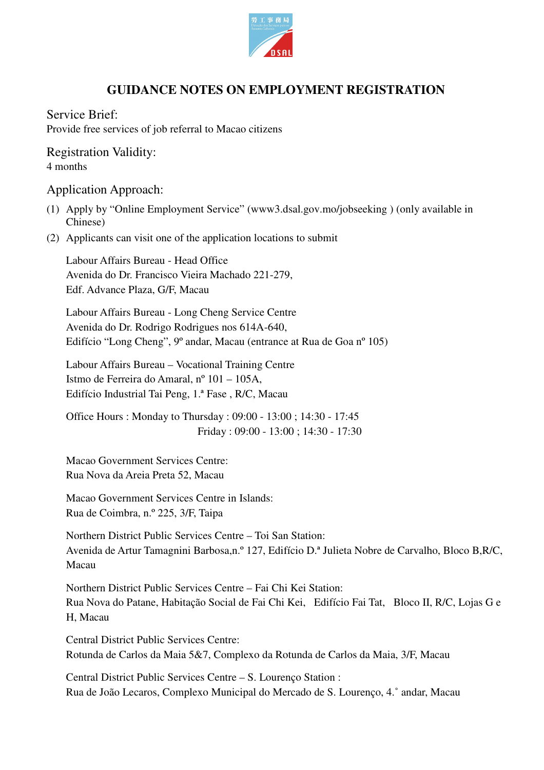

## **GUIDANCE NOTES ON EMPLOYMENT REGISTRATION**

Service Brief: Provide free services of job referral to Macao citizens

Registration Validity: 4 months

## Application Approach:

- (1) Apply by "Online Employment Service" (www3.dsal.gov.mo/jobseeking ) (only available in Chinese)
- (2) Applicants can visit one of the application locations to submit

Labour Affairs Bureau - Head Office Avenida do Dr. Francisco Vieira Machado 221-279, Edf. Advance Plaza, G/F, Macau

Labour Affairs Bureau - Long Cheng Service Centre Avenida do Dr. Rodrigo Rodrigues nos 614A-640, Edifício "Long Cheng", 9º andar, Macau (entrance at Rua de Goa nº 105)

Labour Affairs Bureau – Vocational Training Centre Istmo de Ferreira do Amaral, nº 101 – 105A, Edifício Industrial Tai Peng, 1.ª Fase , R/C, Macau

Office Hours : Monday to Thursday : 09:00 - 13:00 ; 14:30 - 17:45 Friday : 09:00 - 13:00 ; 14:30 - 17:30

Macao Government Services Centre: Rua Nova da Areia Preta 52, Macau

Macao Government Services Centre in Islands: Rua de Coimbra, n.º 225, 3/F, Taipa

Northern District Public Services Centre – Toi San Station: Avenida de Artur Tamagnini Barbosa,n.º 127, Edifício D.ª Julieta Nobre de Carvalho, Bloco B,R/C, Macau

Northern District Public Services Centre – Fai Chi Kei Station: Rua Nova do Patane, Habitação Social de Fai Chi Kei, Edifício Fai Tat, Bloco II, R/C, Lojas G e H, Macau

Central District Public Services Centre: Rotunda de Carlos da Maia 5&7, Complexo da Rotunda de Carlos da Maia, 3/F, Macau

Central District Public Services Centre – S. Lourenço Station : Rua de João Lecaros, Complexo Municipal do Mercado de S. Lourenço, 4.˚ andar, Macau